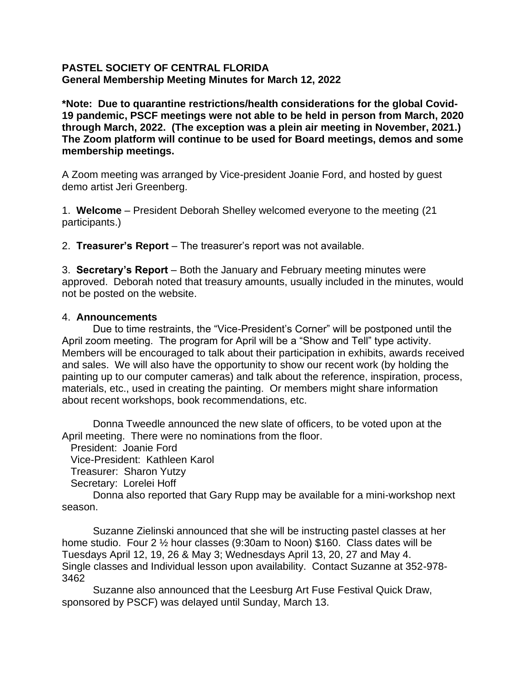## **PASTEL SOCIETY OF CENTRAL FLORIDA General Membership Meeting Minutes for March 12, 2022**

**\*Note: Due to quarantine restrictions/health considerations for the global Covid-19 pandemic, PSCF meetings were not able to be held in person from March, 2020 through March, 2022. (The exception was a plein air meeting in November, 2021.) The Zoom platform will continue to be used for Board meetings, demos and some membership meetings.**

A Zoom meeting was arranged by Vice-president Joanie Ford, and hosted by guest demo artist Jeri Greenberg.

1. **Welcome** – President Deborah Shelley welcomed everyone to the meeting (21 participants.)

2. **Treasurer's Report** – The treasurer's report was not available.

3. **Secretary's Report** – Both the January and February meeting minutes were approved. Deborah noted that treasury amounts, usually included in the minutes, would not be posted on the website.

## 4. **Announcements**

Due to time restraints, the "Vice-President's Corner" will be postponed until the April zoom meeting. The program for April will be a "Show and Tell" type activity. Members will be encouraged to talk about their participation in exhibits, awards received and sales. We will also have the opportunity to show our recent work (by holding the painting up to our computer cameras) and talk about the reference, inspiration, process, materials, etc., used in creating the painting. Or members might share information about recent workshops, book recommendations, etc.

Donna Tweedle announced the new slate of officers, to be voted upon at the April meeting. There were no nominations from the floor.

President: Joanie Ford

Vice-President: Kathleen Karol

Treasurer: Sharon Yutzy

Secretary: Lorelei Hoff

Donna also reported that Gary Rupp may be available for a mini-workshop next season.

Suzanne Zielinski announced that she will be instructing pastel classes at her home studio. Four 2 ½ hour classes (9:30am to Noon) \$160. Class dates will be Tuesdays April 12, 19, 26 & May 3; Wednesdays April 13, 20, 27 and May 4. Single classes and Individual lesson upon availability. Contact Suzanne at 352-978- 3462

Suzanne also announced that the Leesburg Art Fuse Festival Quick Draw, sponsored by PSCF) was delayed until Sunday, March 13.